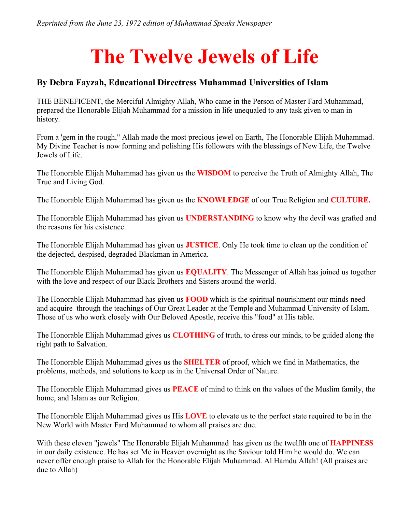## **The Twelve Jewels of Life**

## **By Debra Fayzah, Educational Directress Muhammad Universities of Islam**

THE BENEFICENT, the Merciful Almighty Allah, Who came in the Person of Master Fard Muhammad, prepared the Honorable Elijah Muhammad for a mission in life unequaled to any task given to man in history.

From a 'gem in the rough," Allah made the most precious jewel on Earth, The Honorable Elijah Muhammad. My Divine Teacher is now forming and polishing His followers with the blessings of New Life, the Twelve Jewels of Life.

The Honorable Elijah Muhammad has given us the **WISDOM** to perceive the Truth of Almighty Allah, The True and Living God.

The Honorable Elijah Muhammad has given us the **KNOWLEDGE** of our True Religion and **CULTURE.**

The Honorable Elijah Muhammad has given us **UNDERSTANDING** to know why the devil was grafted and the reasons for his existence.

The Honorable Elijah Muhammad has given us **JUSTICE**. Only He took time to clean up the condition of the dejected, despised, degraded Blackman in America.

The Honorable Elijah Muhammad has given us **EQUALITY**. The Messenger of Allah has joined us together with the love and respect of our Black Brothers and Sisters around the world.

The Honorable Elijah Muhammad has given us **FOOD** which is the spiritual nourishment our minds need and acquire through the teachings of Our Great Leader at the Temple and Muhammad University of Islam. Those of us who work closely with Our Beloved Apostle, receive this "food" at His table.

The Honorable Elijah Muhammad gives us **CLOTHING** of truth, to dress our minds, to be guided along the right path to Salvation.

The Honorable Elijah Muhammad gives us the **SHELTER** of proof, which we find in Mathematics, the problems, methods, and solutions to keep us in the Universal Order of Nature.

The Honorable Elijah Muhammad gives us **PEACE** of mind to think on the values of the Muslim family, the home, and Islam as our Religion.

The Honorable Elijah Muhammad gives us His **LOVE** to elevate us to the perfect state required to be in the New World with Master Fard Muhammad to whom all praises are due.

With these eleven "jewels" The Honorable Elijah Muhammad has given us the twelfth one of **HAPPINESS** in our daily existence. He has set Me in Heaven overnight as the Saviour told Him he would do. We can never offer enough praise to Allah for the Honorable Elijah Muhammad. Al Hamdu Allah! (All praises are due to Allah)